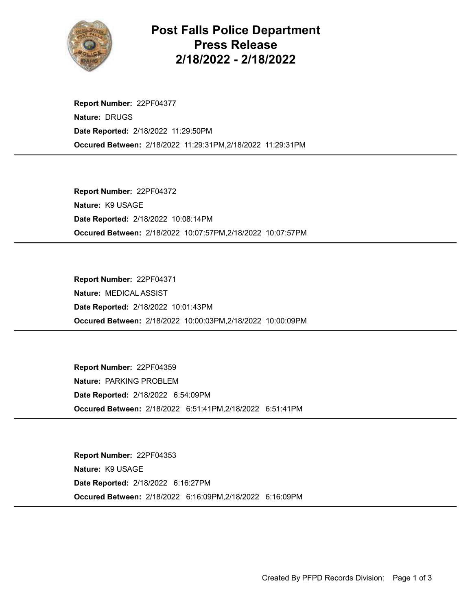

Post Falls Police Department Press Release 2/18/2022 - 2/18/2022

Occured Between: 2/18/2022 11:29:31PM,2/18/2022 11:29:31PM Report Number: 22PF04377 Nature: DRUGS Date Reported: 2/18/2022 11:29:50PM

Occured Between: 2/18/2022 10:07:57PM,2/18/2022 10:07:57PM Report Number: 22PF04372 Nature: K9 USAGE Date Reported: 2/18/2022 10:08:14PM

Occured Between: 2/18/2022 10:00:03PM,2/18/2022 10:00:09PM Report Number: 22PF04371 Nature: MEDICAL ASSIST Date Reported: 2/18/2022 10:01:43PM

Occured Between: 2/18/2022 6:51:41PM,2/18/2022 6:51:41PM Report Number: 22PF04359 Nature: PARKING PROBLEM Date Reported: 2/18/2022 6:54:09PM

Occured Between: 2/18/2022 6:16:09PM,2/18/2022 6:16:09PM Report Number: 22PF04353 Nature: K9 USAGE Date Reported: 2/18/2022 6:16:27PM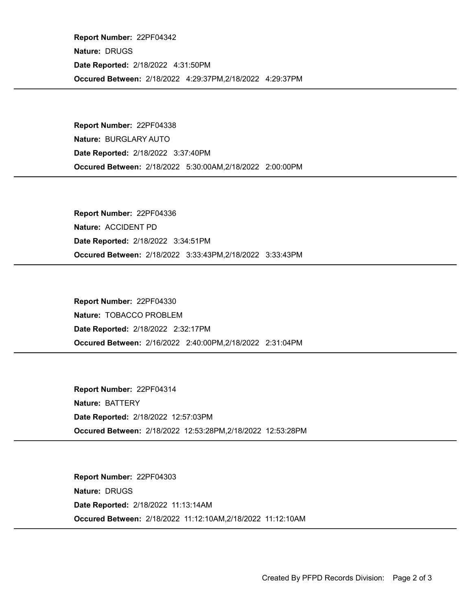Occured Between: 2/18/2022 4:29:37PM,2/18/2022 4:29:37PM Report Number: 22PF04342 Nature: DRUGS Date Reported: 2/18/2022 4:31:50PM

Occured Between: 2/18/2022 5:30:00AM,2/18/2022 2:00:00PM Report Number: 22PF04338 Nature: BURGLARY AUTO Date Reported: 2/18/2022 3:37:40PM

Occured Between: 2/18/2022 3:33:43PM,2/18/2022 3:33:43PM Report Number: 22PF04336 Nature: ACCIDENT PD Date Reported: 2/18/2022 3:34:51PM

Occured Between: 2/16/2022 2:40:00PM,2/18/2022 2:31:04PM Report Number: 22PF04330 Nature: TOBACCO PROBLEM Date Reported: 2/18/2022 2:32:17PM

Occured Between: 2/18/2022 12:53:28PM,2/18/2022 12:53:28PM Report Number: 22PF04314 Nature: BATTERY Date Reported: 2/18/2022 12:57:03PM

Occured Between: 2/18/2022 11:12:10AM,2/18/2022 11:12:10AM Report Number: 22PF04303 Nature: DRUGS Date Reported: 2/18/2022 11:13:14AM